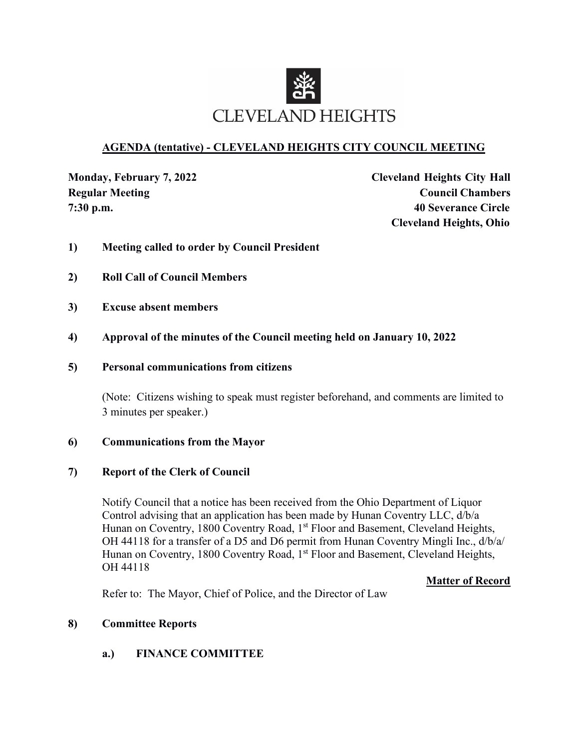

### **AGENDA (tentative) - CLEVELAND HEIGHTS CITY COUNCIL MEETING**

**Monday, February 7, 2022 Cleveland Heights City Hall Regular Meeting Council Chambers 7:30 p.m. 40 Severance Circle Cleveland Heights, Ohio**

- **1) Meeting called to order by Council President**
- **2) Roll Call of Council Members**
- **3) Excuse absent members**
- **4) Approval of the minutes of the Council meeting held on January 10, 2022**
- **5) Personal communications from citizens**

(Note: Citizens wishing to speak must register beforehand, and comments are limited to 3 minutes per speaker.)

#### **6) Communications from the Mayor**

#### **7) Report of the Clerk of Council**

Notify Council that a notice has been received from the Ohio Department of Liquor Control advising that an application has been made by Hunan Coventry LLC, d/b/a Hunan on Coventry, 1800 Coventry Road, 1<sup>st</sup> Floor and Basement, Cleveland Heights, OH 44118 for a transfer of a D5 and D6 permit from Hunan Coventry Mingli Inc., d/b/a/ Hunan on Coventry, 1800 Coventry Road, 1<sup>st</sup> Floor and Basement, Cleveland Heights, OH 44118

**Matter of Record**

Refer to: The Mayor, Chief of Police, and the Director of Law

#### **8) Committee Reports**

**a.) FINANCE COMMITTEE**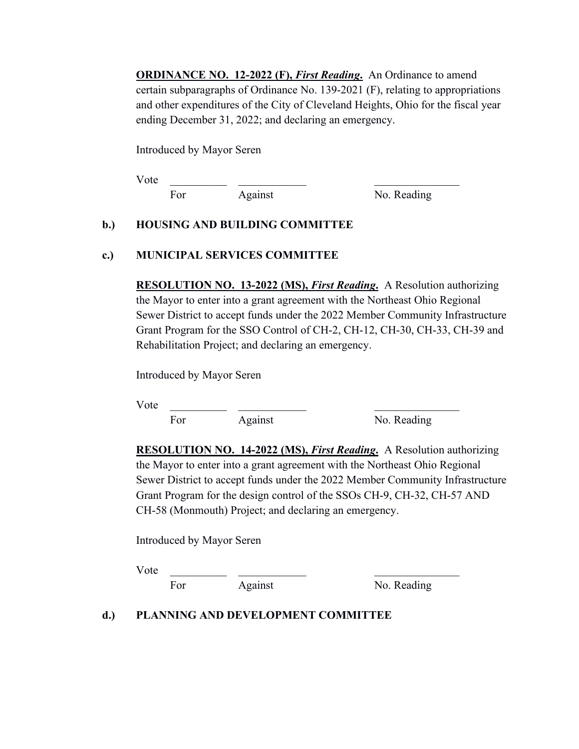**ORDINANCE NO. 12-2022 (F),** *First Reading***.** An Ordinance to amend certain subparagraphs of Ordinance No. 139-2021 (F), relating to appropriations and other expenditures of the City of Cleveland Heights, Ohio for the fiscal year ending December 31, 2022; and declaring an emergency.

Introduced by Mayor Seren

Vote \_\_\_\_\_\_\_\_\_\_ \_\_\_\_\_\_\_\_\_\_\_\_ \_\_\_\_\_\_\_\_\_\_\_\_\_\_\_ For Against No. Reading

## **b.) HOUSING AND BUILDING COMMITTEE**

## **c.) MUNICIPAL SERVICES COMMITTEE**

**RESOLUTION NO. 13-2022 (MS),** *First Reading***.** A Resolution authorizing the Mayor to enter into a grant agreement with the Northeast Ohio Regional Sewer District to accept funds under the 2022 Member Community Infrastructure Grant Program for the SSO Control of CH-2, CH-12, CH-30, CH-33, CH-39 and Rehabilitation Project; and declaring an emergency.

Introduced by Mayor Seren

 $Vote$ 

For Against No. Reading

**RESOLUTION NO. 14-2022 (MS),** *First Reading***.** A Resolution authorizing the Mayor to enter into a grant agreement with the Northeast Ohio Regional Sewer District to accept funds under the 2022 Member Community Infrastructure Grant Program for the design control of the SSOs CH-9, CH-32, CH-57 AND CH-58 (Monmouth) Project; and declaring an emergency.

Introduced by Mayor Seren

Vote \_\_\_\_\_\_\_\_\_\_ \_\_\_\_\_\_\_\_\_\_\_\_ \_\_\_\_\_\_\_\_\_\_\_\_\_\_\_

For Against No. Reading

#### **d.) PLANNING AND DEVELOPMENT COMMITTEE**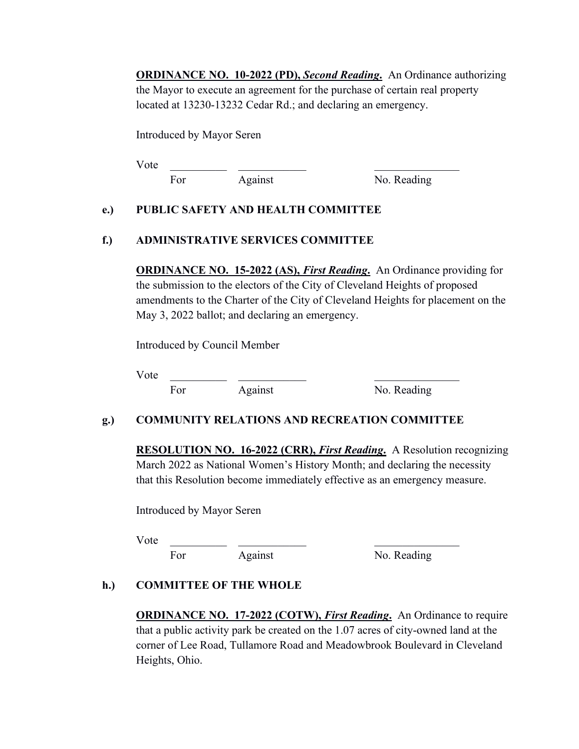**ORDINANCE NO. 10-2022 (PD),** *Second Reading***.** An Ordinance authorizing the Mayor to execute an agreement for the purchase of certain real property located at 13230-13232 Cedar Rd.; and declaring an emergency.

Introduced by Mayor Seren

 $Vote$ 

For Against No. Reading

## **e.) PUBLIC SAFETY AND HEALTH COMMITTEE**

## **f.) ADMINISTRATIVE SERVICES COMMITTEE**

**ORDINANCE NO. 15-2022 (AS),** *First Reading***.** An Ordinance providing for the submission to the electors of the City of Cleveland Heights of proposed amendments to the Charter of the City of Cleveland Heights for placement on the May 3, 2022 ballot; and declaring an emergency.

Introduced by Council Member

Vote \_\_\_\_\_\_\_\_\_\_ \_\_\_\_\_\_\_\_\_\_\_\_ \_\_\_\_\_\_\_\_\_\_\_\_\_\_\_

For Against No. Reading

# **g.) COMMUNITY RELATIONS AND RECREATION COMMITTEE**

**RESOLUTION NO. 16-2022 (CRR),** *First Reading***.** A Resolution recognizing March 2022 as National Women's History Month; and declaring the necessity that this Resolution become immediately effective as an emergency measure.

Introduced by Mayor Seren

Vote \_\_\_\_\_\_\_\_\_\_ \_\_\_\_\_\_\_\_\_\_\_\_ \_\_\_\_\_\_\_\_\_\_\_\_\_\_\_

For Against No. Reading

# **h.) COMMITTEE OF THE WHOLE**

**ORDINANCE NO. 17-2022 (COTW),** *First Reading***.** An Ordinance to require that a public activity park be created on the 1.07 acres of city-owned land at the corner of Lee Road, Tullamore Road and Meadowbrook Boulevard in Cleveland Heights, Ohio.